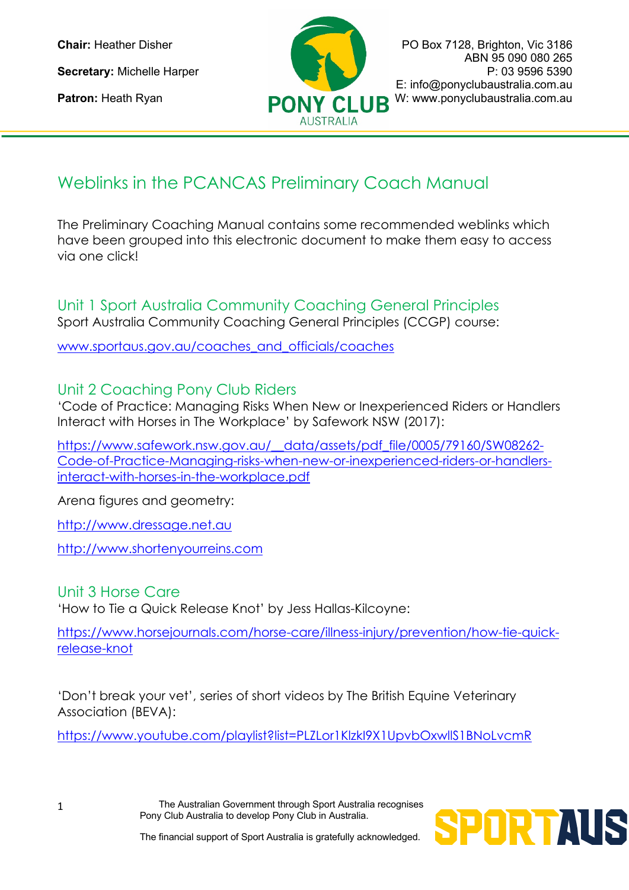

**Chair:** Heather Disher **PO Box 7128, Brighton, Vic 3186** ABN 95 090 080 265 **Secretary:** Michelle Harper **P: 03 9596 5390** E: info@ponyclubaustralia.com.au Patron: Heath Ryan **PONY CLUB** W: www.ponyclubaustralia.com.au

## Weblinks in the PCANCAS Preliminary Coach Manual

The Preliminary Coaching Manual contains some recommended weblinks which have been grouped into this electronic document to make them easy to access via one click!

Unit 1 Sport Australia Community Coaching General Principles Sport Australia Community Coaching General Principles (CCGP) course:

www.sportaus.gov.au/coaches\_and\_officials/coaches

## Unit 2 Coaching Pony Club Riders

'Code of Practice: Managing Risks When New or Inexperienced Riders or Handlers Interact with Horses in The Workplace' by Safework NSW (2017):

https://www.safework.nsw.gov.au/\_data/assets/pdf\_file/0005/79160/SW08262-Code-of-Practice-Managing-risks-when-new-or-inexperienced-riders-or-handlersinteract-with-horses-in-the-workplace.pdf

Arena figures and geometry:

http://www.dressage.net.au

http://www.shortenyourreins.com

## Unit 3 Horse Care

'How to Tie a Quick Release Knot' by Jess Hallas-Kilcoyne:

https://www.horsejournals.com/horse-care/illness-injury/prevention/how-tie-quickrelease-knot

'Don't break your vet', series of short videos by The British Equine Veterinary Association (BEVA):

https://www.youtube.com/playlist?list=PLZLor1KlzkI9X1UpvbOxwllS1BNoLvcmR

The Australian Government through Sport Australia recognises Pony Club Australia to develop Pony Club in Australia.

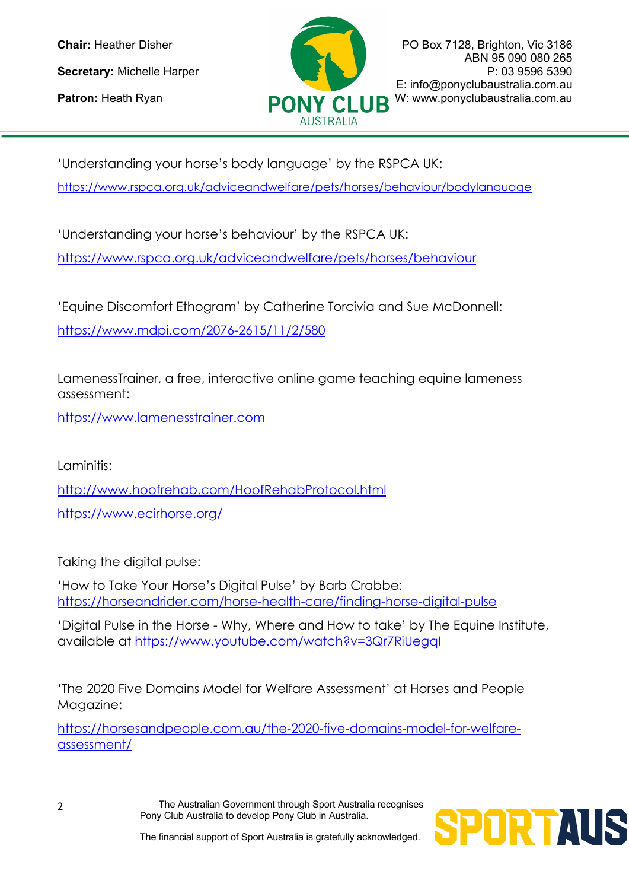

**Chair:** Heather Disher **PO Box 7128, Brighton, Vic 3186** ABN 95 090 080 265 **Secretary:** Michelle Harper **P: 03 9596 5390** E: info@ponyclubaustralia.com.au Patron: Heath Ryan **PONY CLUB** W: www.ponyclubaustralia.com.au

'Understanding your horse's body language' by the RSPCA UK: https://www.rspca.org.uk/adviceandwelfare/pets/horses/behaviour/bodylanguage

'Understanding your horse's behaviour' by the RSPCA UK:

https://www.rspca.org.uk/adviceandwelfare/pets/horses/behaviour

'Equine Discomfort Ethogram' by Catherine Torcivia and Sue McDonnell: https://www.mdpi.com/2076-2615/11/2/580

LamenessTrainer, a free, interactive online game teaching equine lameness assessment:

https://www.lamenesstrainer.com

Laminitis: http://www.hoofrehab.com/HoofRehabProtocol.html https://www.ecirhorse.org/

Taking the digital pulse:

'How to Take Your Horse's Digital Pulse' by Barb Crabbe: https://horseandrider.com/horse-health-care/finding-horse-digital-pulse

'Digital Pulse in the Horse - Why, Where and How to take' by The Equine Institute, available at https://www.youtube.com/watch?v=3Qr7RiUegqI

'The 2020 Five Domains Model for Welfare Assessment' at Horses and People Magazine:

https://horsesandpeople.com.au/the-2020-five-domains-model-for-welfareassessment/

> The Australian Government through Sport Australia recognises Pony Club Australia to develop Pony Club in Australia.